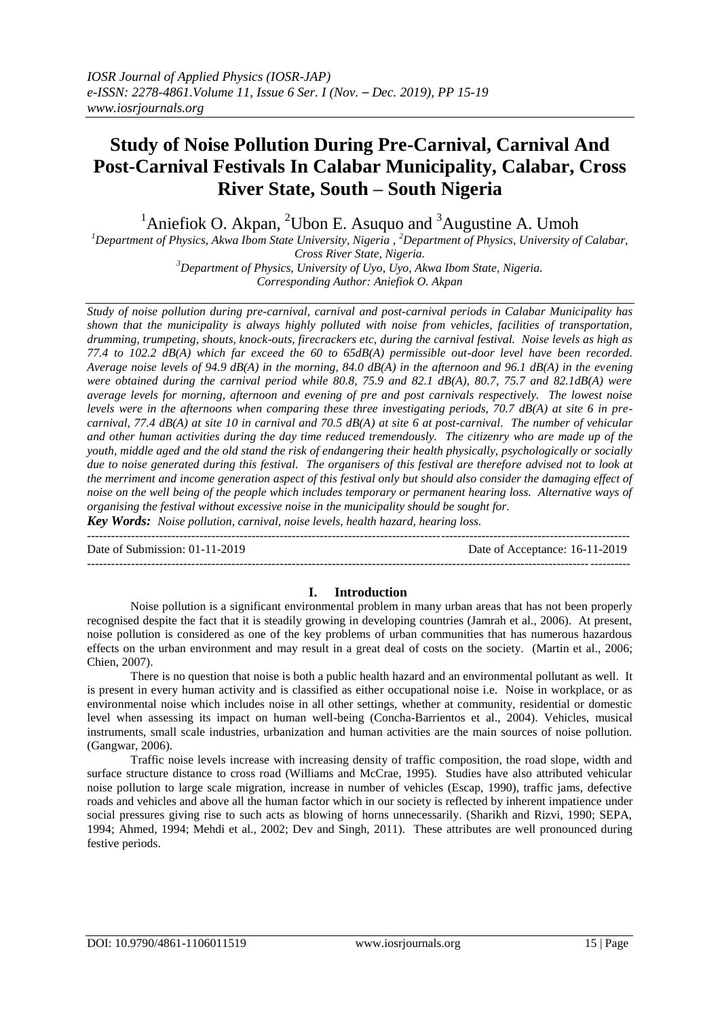# **Study of Noise Pollution During Pre-Carnival, Carnival And Post-Carnival Festivals In Calabar Municipality, Calabar, Cross River State, South – South Nigeria**

<sup>1</sup>Aniefiok O. Akpan, <sup>2</sup>Ubon E. Asuguo and <sup>3</sup>Augustine A. Umoh

*<sup>1</sup>Department of Physics, Akwa Ibom State University, Nigeria , <sup>2</sup>Department of Physics, University of Calabar, Cross River State, Nigeria.*

*<sup>3</sup>Department of Physics, University of Uyo, Uyo, Akwa Ibom State, Nigeria. Corresponding Author: Aniefiok O. Akpan*

*Study of noise pollution during pre-carnival, carnival and post-carnival periods in Calabar Municipality has shown that the municipality is always highly polluted with noise from vehicles, facilities of transportation, drumming, trumpeting, shouts, knock-outs, firecrackers etc, during the carnival festival. Noise levels as high as 77.4 to 102.2 dB(A) which far exceed the 60 to 65dB(A) permissible out-door level have been recorded. Average noise levels of 94.9 dB(A) in the morning, 84.0 dB(A) in the afternoon and 96.1 dB(A) in the evening were obtained during the carnival period while 80.8, 75.9 and 82.1 dB(A), 80.7, 75.7 and 82.1dB(A) were average levels for morning, afternoon and evening of pre and post carnivals respectively. The lowest noise levels were in the afternoons when comparing these three investigating periods, 70.7 dB(A) at site 6 in precarnival, 77.4 dB(A) at site 10 in carnival and 70.5 dB(A) at site 6 at post-carnival. The number of vehicular and other human activities during the day time reduced tremendously. The citizenry who are made up of the youth, middle aged and the old stand the risk of endangering their health physically, psychologically or socially due to noise generated during this festival. The organisers of this festival are therefore advised not to look at the merriment and income generation aspect of this festival only but should also consider the damaging effect of noise on the well being of the people which includes temporary or permanent hearing loss. Alternative ways of organising the festival without excessive noise in the municipality should be sought for.* 

*Key Words: Noise pollution, carnival, noise levels, health hazard, hearing loss.* 

--------------------------------------------------------------------------------------------------------------------------------------- Date of Submission: 01-11-2019 Date of Acceptance: 16-11-2019  $-1-\frac{1}{2}$ 

## **I. Introduction**

Noise pollution is a significant environmental problem in many urban areas that has not been properly recognised despite the fact that it is steadily growing in developing countries (Jamrah et al., 2006). At present, noise pollution is considered as one of the key problems of urban communities that has numerous hazardous effects on the urban environment and may result in a great deal of costs on the society. (Martin et al., 2006; Chien, 2007).

There is no question that noise is both a public health hazard and an environmental pollutant as well. It is present in every human activity and is classified as either occupational noise i.e. Noise in workplace, or as environmental noise which includes noise in all other settings, whether at community, residential or domestic level when assessing its impact on human well-being (Concha-Barrientos et al., 2004). Vehicles, musical instruments, small scale industries, urbanization and human activities are the main sources of noise pollution. (Gangwar, 2006).

Traffic noise levels increase with increasing density of traffic composition, the road slope, width and surface structure distance to cross road (Williams and McCrae, 1995). Studies have also attributed vehicular noise pollution to large scale migration, increase in number of vehicles (Escap, 1990), traffic jams, defective roads and vehicles and above all the human factor which in our society is reflected by inherent impatience under social pressures giving rise to such acts as blowing of horns unnecessarily. (Sharikh and Rizvi, 1990; SEPA, 1994; Ahmed, 1994; Mehdi et al., 2002; Dev and Singh, 2011). These attributes are well pronounced during festive periods.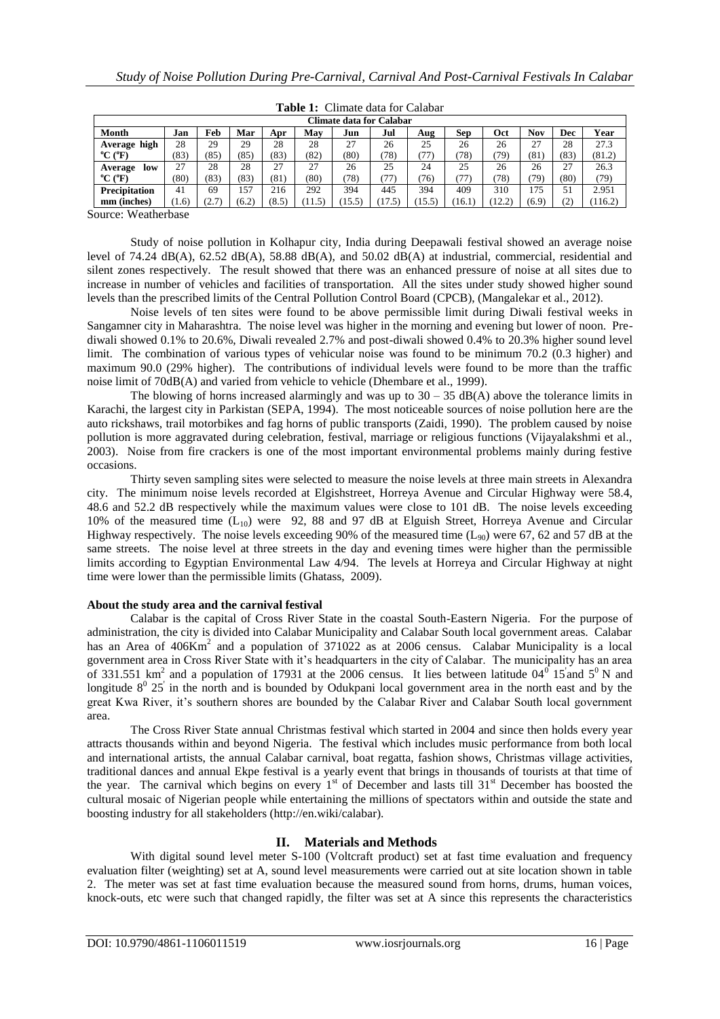| Climate data for Calabar     |      |              |       |       |       |                |       |        |      |       |       |      |         |
|------------------------------|------|--------------|-------|-------|-------|----------------|-------|--------|------|-------|-------|------|---------|
| Month                        | Jan  | Feb          | Mar   | Apr   | Mav   | Jun            | Jul   | Aug    | Sep  | Oct   | Nov   | Dec  | Year    |
| high<br>Average              | 28   | 29           | 29    | 28    | 28    | 27             | 26    | 25     | 26   | 26    | 27    | 28   | 27.3    |
| $^{\circ}$ C ( $^{\circ}$ F) | 83)  | (85)         | (85)  | (83)  | (82)  | (80)           | 78)   | 77     | (78) | 79)   | (81)  | (83) | (81.2)  |
| low<br>Average               | 27   | 28           | 28    | 27    | 27    | 26             | 25    | 24     | 25   | 26    | 26    | 27   | 26.3    |
| $^{\circ}$ C ( $^{\circ}$ F) | (80) | (83)         | (83)  | (81)  | (80)  | (78)           | 77)   | (76)   | (77) | 78)   | 79)   | (80) | 79)     |
| <b>Precipitation</b>         | 41   | 69           | 157   | 216   | 292   | 394            | 445   | 394    | 409  | 310   | 175   | 51   | 2.951   |
| mm (inches)                  | 1.6  | <u>، ، ،</u> | (6.2) | (8.5) | 11.5) | $15.5^{\circ}$ | 17.5) | (15.5) | 16.1 | 12.21 | (6.9) | (2)  | (116.2) |

**Table 1:** Climate data for Calabar

Source: Weatherbase

Study of noise pollution in Kolhapur city, India during Deepawali festival showed an average noise level of 74.24 dB(A), 62.52 dB(A), 58.88 dB(A), and 50.02 dB(A) at industrial, commercial, residential and silent zones respectively. The result showed that there was an enhanced pressure of noise at all sites due to increase in number of vehicles and facilities of transportation. All the sites under study showed higher sound levels than the prescribed limits of the Central Pollution Control Board (CPCB), (Mangalekar et al., 2012).

Noise levels of ten sites were found to be above permissible limit during Diwali festival weeks in Sangamner city in Maharashtra. The noise level was higher in the morning and evening but lower of noon. Prediwali showed 0.1% to 20.6%, Diwali revealed 2.7% and post-diwali showed 0.4% to 20.3% higher sound level limit. The combination of various types of vehicular noise was found to be minimum 70.2 (0.3 higher) and maximum 90.0 (29% higher). The contributions of individual levels were found to be more than the traffic noise limit of 70dB(A) and varied from vehicle to vehicle (Dhembare et al., 1999).

The blowing of horns increased alarmingly and was up to  $30 - 35$  dB(A) above the tolerance limits in Karachi, the largest city in Parkistan (SEPA, 1994). The most noticeable sources of noise pollution here are the auto rickshaws, trail motorbikes and fag horns of public transports (Zaidi, 1990). The problem caused by noise pollution is more aggravated during celebration, festival, marriage or religious functions (Vijayalakshmi et al., 2003). Noise from fire crackers is one of the most important environmental problems mainly during festive occasions.

Thirty seven sampling sites were selected to measure the noise levels at three main streets in Alexandra city. The minimum noise levels recorded at Elgishstreet, Horreya Avenue and Circular Highway were 58.4, 48.6 and 52.2 dB respectively while the maximum values were close to 101 dB. The noise levels exceeding 10% of the measured time  $(L_{10})$  were 92, 88 and 97 dB at Elguish Street, Horreya Avenue and Circular Highway respectively. The noise levels exceeding 90% of the measured time  $(L_{90})$  were 67, 62 and 57 dB at the same streets. The noise level at three streets in the day and evening times were higher than the permissible limits according to Egyptian Environmental Law 4/94. The levels at Horreya and Circular Highway at night time were lower than the permissible limits (Ghatass, 2009).

#### **About the study area and the carnival festival**

Calabar is the capital of Cross River State in the coastal South-Eastern Nigeria. For the purpose of administration, the city is divided into Calabar Municipality and Calabar South local government areas. Calabar has an Area of  $406Km^2$  and a population of 371022 as at 2006 census. Calabar Municipality is a local government area in Cross River State with it's headquarters in the city of Calabar. The municipality has an area of 331.551 km<sup>2</sup> and a population of 17931 at the 2006 census. It lies between latitude  $0.4^{\circ}$  15 and 5<sup>0</sup> N and longitude  $8^{\circ}$  25 $^{\circ}$  in the north and is bounded by Odukpani local government area in the north east and by the great Kwa River, it's southern shores are bounded by the Calabar River and Calabar South local government area.

The Cross River State annual Christmas festival which started in 2004 and since then holds every year attracts thousands within and beyond Nigeria. The festival which includes music performance from both local and international artists, the annual Calabar carnival, boat regatta, fashion shows, Christmas village activities, traditional dances and annual Ekpe festival is a yearly event that brings in thousands of tourists at that time of the year. The carnival which begins on every  $1<sup>st</sup>$  of December and lasts till  $31<sup>st</sup>$  December has boosted the cultural mosaic of Nigerian people while entertaining the millions of spectators within and outside the state and boosting industry for all stakeholders (http://en.wiki/calabar).

## **II. Materials and Methods**

With digital sound level meter S-100 (Voltcraft product) set at fast time evaluation and frequency evaluation filter (weighting) set at A, sound level measurements were carried out at site location shown in table 2. The meter was set at fast time evaluation because the measured sound from horns, drums, human voices, knock-outs, etc were such that changed rapidly, the filter was set at A since this represents the characteristics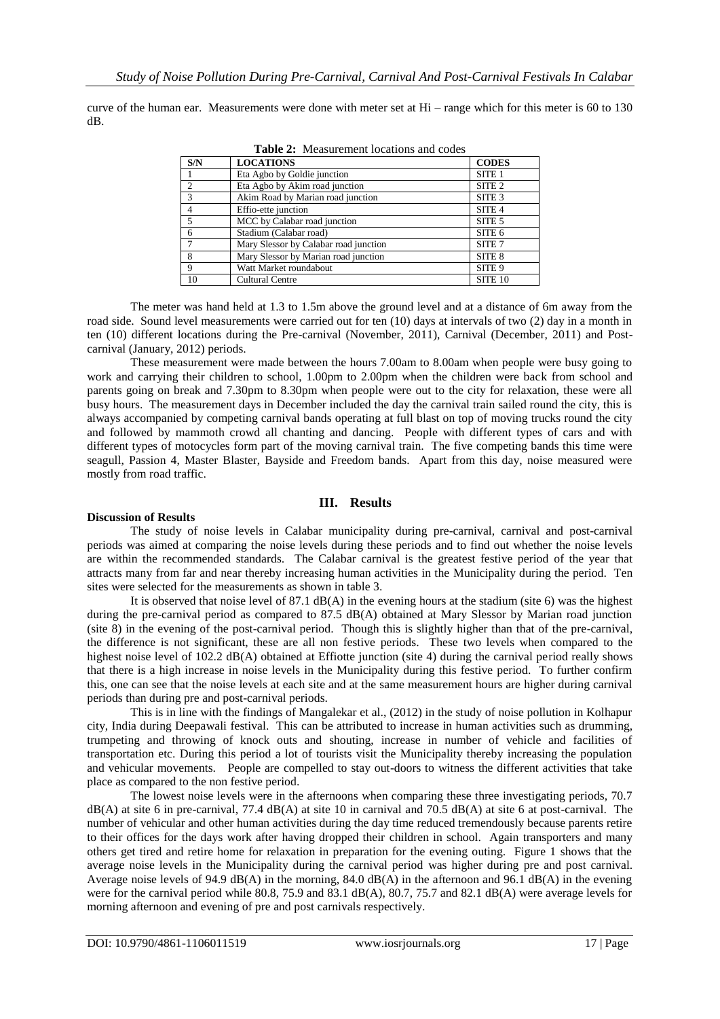curve of the human ear. Measurements were done with meter set at Hi – range which for this meter is 60 to 130 dB.

| S/N           | <b>LOCATIONS</b>                      | <b>CODES</b>       |
|---------------|---------------------------------------|--------------------|
|               | Eta Agbo by Goldie junction           | SITE <sub>1</sub>  |
| $\mathcal{D}$ | Eta Agbo by Akim road junction        | SITE <sub>2</sub>  |
| $\mathcal{R}$ | Akim Road by Marian road junction     | SITE <sub>3</sub>  |
|               | Effio-ette junction                   | SITE <sub>4</sub>  |
| 5             | MCC by Calabar road junction          | SITE <sub>5</sub>  |
| 6             | Stadium (Calabar road)                | SITE <sub>6</sub>  |
|               | Mary Slessor by Calabar road junction | SITE <sub>7</sub>  |
| 8             | Mary Slessor by Marian road junction  | SITE 8             |
| $\mathbf Q$   | Watt Market roundabout                | SITE <sub>9</sub>  |
| 10            | <b>Cultural Centre</b>                | SITE <sub>10</sub> |

**Table 2:** Measurement locations and codes

The meter was hand held at 1.3 to 1.5m above the ground level and at a distance of 6m away from the road side. Sound level measurements were carried out for ten (10) days at intervals of two (2) day in a month in ten (10) different locations during the Pre-carnival (November, 2011), Carnival (December, 2011) and Postcarnival (January, 2012) periods.

These measurement were made between the hours 7.00am to 8.00am when people were busy going to work and carrying their children to school, 1.00pm to 2.00pm when the children were back from school and parents going on break and 7.30pm to 8.30pm when people were out to the city for relaxation, these were all busy hours. The measurement days in December included the day the carnival train sailed round the city, this is always accompanied by competing carnival bands operating at full blast on top of moving trucks round the city and followed by mammoth crowd all chanting and dancing. People with different types of cars and with different types of motocycles form part of the moving carnival train. The five competing bands this time were seagull, Passion 4, Master Blaster, Bayside and Freedom bands. Apart from this day, noise measured were mostly from road traffic.

## **III. Results**

#### **Discussion of Results**

The study of noise levels in Calabar municipality during pre-carnival, carnival and post-carnival periods was aimed at comparing the noise levels during these periods and to find out whether the noise levels are within the recommended standards. The Calabar carnival is the greatest festive period of the year that attracts many from far and near thereby increasing human activities in the Municipality during the period. Ten sites were selected for the measurements as shown in table 3.

It is observed that noise level of 87.1  $dB(A)$  in the evening hours at the stadium (site 6) was the highest during the pre-carnival period as compared to 87.5 dB(A) obtained at Mary Slessor by Marian road junction (site 8) in the evening of the post-carnival period. Though this is slightly higher than that of the pre-carnival, the difference is not significant, these are all non festive periods. These two levels when compared to the highest noise level of 102.2 dB(A) obtained at Effiotte junction (site 4) during the carnival period really shows that there is a high increase in noise levels in the Municipality during this festive period. To further confirm this, one can see that the noise levels at each site and at the same measurement hours are higher during carnival periods than during pre and post-carnival periods.

This is in line with the findings of Mangalekar et al., (2012) in the study of noise pollution in Kolhapur city, India during Deepawali festival. This can be attributed to increase in human activities such as drumming, trumpeting and throwing of knock outs and shouting, increase in number of vehicle and facilities of transportation etc. During this period a lot of tourists visit the Municipality thereby increasing the population and vehicular movements. People are compelled to stay out-doors to witness the different activities that take place as compared to the non festive period.

The lowest noise levels were in the afternoons when comparing these three investigating periods, 70.7  $dB(A)$  at site 6 in pre-carnival, 77.4  $dB(A)$  at site 10 in carnival and 70.5  $dB(A)$  at site 6 at post-carnival. The number of vehicular and other human activities during the day time reduced tremendously because parents retire to their offices for the days work after having dropped their children in school. Again transporters and many others get tired and retire home for relaxation in preparation for the evening outing. Figure 1 shows that the average noise levels in the Municipality during the carnival period was higher during pre and post carnival. Average noise levels of 94.9 dB(A) in the morning, 84.0 dB(A) in the afternoon and 96.1 dB(A) in the evening were for the carnival period while 80.8, 75.9 and 83.1 dB(A), 80.7, 75.7 and 82.1 dB(A) were average levels for morning afternoon and evening of pre and post carnivals respectively.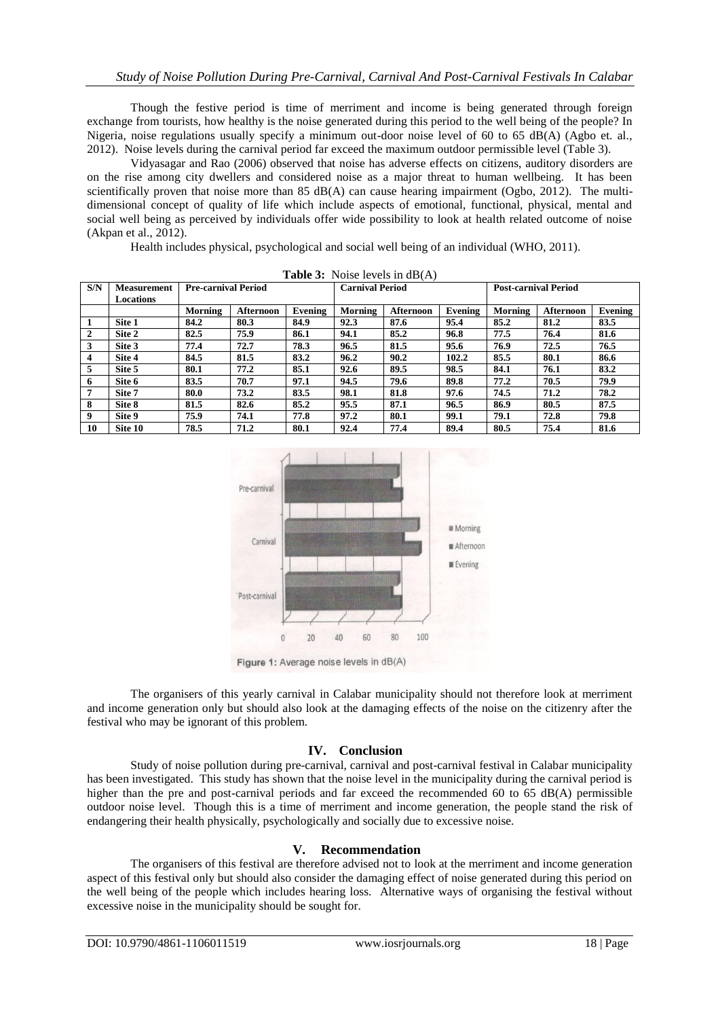Though the festive period is time of merriment and income is being generated through foreign exchange from tourists, how healthy is the noise generated during this period to the well being of the people? In Nigeria, noise regulations usually specify a minimum out-door noise level of 60 to 65 dB(A) (Agbo et. al., 2012). Noise levels during the carnival period far exceed the maximum outdoor permissible level (Table 3).

Vidyasagar and Rao (2006) observed that noise has adverse effects on citizens, auditory disorders are on the rise among city dwellers and considered noise as a major threat to human wellbeing. It has been scientifically proven that noise more than 85 dB(A) can cause hearing impairment (Ogbo, 2012). The multidimensional concept of quality of life which include aspects of emotional, functional, physical, mental and social well being as perceived by individuals offer wide possibility to look at health related outcome of noise (Akpan et al., 2012).

Health includes physical, psychological and social well being of an individual (WHO, 2011).

| <b>EQUIC 3.</b> TOISE ICYCIS III UD $(A)$ |                    |                            |                  |         |                        |                  |         |                             |                  |         |
|-------------------------------------------|--------------------|----------------------------|------------------|---------|------------------------|------------------|---------|-----------------------------|------------------|---------|
| S/N                                       | <b>Measurement</b> | <b>Pre-carnival Period</b> |                  |         | <b>Carnival Period</b> |                  |         | <b>Post-carnival Period</b> |                  |         |
|                                           | Locations          |                            |                  |         |                        |                  |         |                             |                  |         |
|                                           |                    | Morning                    | <b>Afternoon</b> | Evening | Morning                | <b>Afternoon</b> | Evening | Morning                     | <b>Afternoon</b> | Evening |
|                                           | Site 1             | 84.2                       | 80.3             | 84.9    | 92.3                   | 87.6             | 95.4    | 85.2                        | 81.2             | 83.5    |
| 2                                         | Site 2             | 82.5                       | 75.9             | 86.1    | 94.1                   | 85.2             | 96.8    | 77.5                        | 76.4             | 81.6    |
| 3                                         | Site 3             | 77.4                       | 72.7             | 78.3    | 96.5                   | 81.5             | 95.6    | 76.9                        | 72.5             | 76.5    |
| 4                                         | Site 4             | 84.5                       | 81.5             | 83.2    | 96.2                   | 90.2             | 102.2   | 85.5                        | 80.1             | 86.6    |
| 5.                                        | Site 5             | 80.1                       | 77.2             | 85.1    | 92.6                   | 89.5             | 98.5    | 84.1                        | 76.1             | 83.2    |
| 6                                         | Site 6             | 83.5                       | 70.7             | 97.1    | 94.5                   | 79.6             | 89.8    | 77.2                        | 70.5             | 79.9    |
|                                           | Site 7             | 80.0                       | 73.2             | 83.5    | 98.1                   | 81.8             | 97.6    | 74.5                        | 71.2             | 78.2    |
| 8                                         | Site 8             | 81.5                       | 82.6             | 85.2    | 95.5                   | 87.1             | 96.5    | 86.9                        | 80.5             | 87.5    |
| 9                                         | Site 9             | 75.9                       | 74.1             | 77.8    | 97.2                   | 80.1             | 99.1    | 79.1                        | 72.8             | 79.8    |
| 10                                        | Site 10            | 78.5                       | 71.2             | 80.1    | 92.4                   | 77.4             | 89.4    | 80.5                        | 75.4             | 81.6    |





The organisers of this yearly carnival in Calabar municipality should not therefore look at merriment and income generation only but should also look at the damaging effects of the noise on the citizenry after the festival who may be ignorant of this problem.

## **IV. Conclusion**

Study of noise pollution during pre-carnival, carnival and post-carnival festival in Calabar municipality has been investigated. This study has shown that the noise level in the municipality during the carnival period is higher than the pre and post-carnival periods and far exceed the recommended 60 to 65 dB(A) permissible outdoor noise level. Though this is a time of merriment and income generation, the people stand the risk of endangering their health physically, psychologically and socially due to excessive noise.

#### **V. Recommendation**

The organisers of this festival are therefore advised not to look at the merriment and income generation aspect of this festival only but should also consider the damaging effect of noise generated during this period on the well being of the people which includes hearing loss. Alternative ways of organising the festival without excessive noise in the municipality should be sought for.